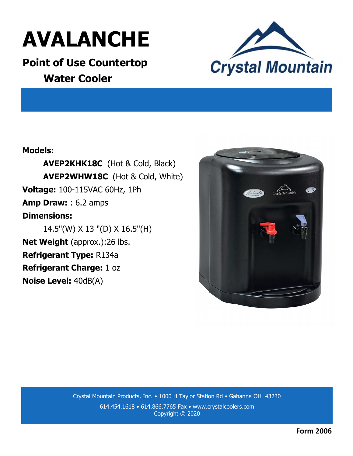

**Point of Use Countertop Water Cooler**



## **Models:**

**AVEP2KHK18C** (Hot & Cold, Black) **AVEP2WHW18C** (Hot & Cold, White) **Voltage:** 100-115VAC 60Hz, 1Ph **Amp Draw:** : 6.2 amps **Dimensions:**  14.5"(W) X 13 "(D) X 16.5"(H) **Net Weight** (approx.):26 lbs. **Refrigerant Type:** R134a

**Refrigerant Charge:** 1 oz

**Noise Level:** 40dB(A)



Crystal Mountain Products, Inc. • 1000 H Taylor Station Rd • Gahanna OH 43230 614.454.1618 • 614.866.7765 Fax • www.crystalcoolers.com Copyright © 2020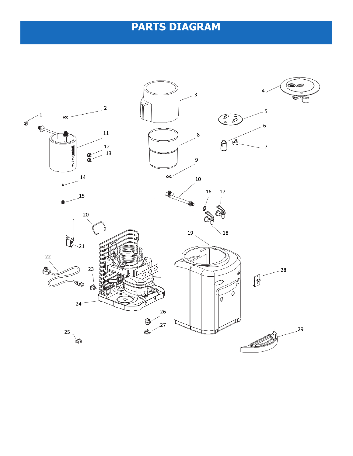## **PARTS DIAGRAM**

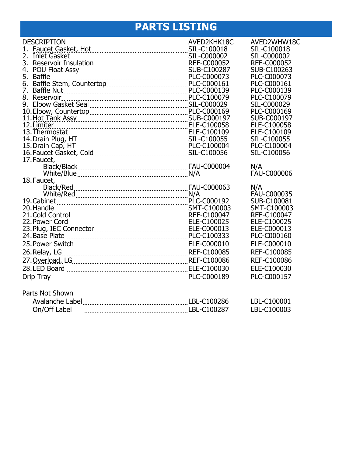## **PARTS LISTING**

| <b>DESCRIPTION</b>                                                                                                                               | AVED2KHK18C | AVED2WHW18C        |
|--------------------------------------------------------------------------------------------------------------------------------------------------|-------------|--------------------|
| 1.                                                                                                                                               |             | SIL-C100018        |
| 2.                                                                                                                                               |             | SIL-C000002        |
| 3.                                                                                                                                               |             | <b>REF-C000052</b> |
| 4.                                                                                                                                               |             | SUB-C100263        |
| 5.<br>Baffle                                                                                                                                     |             | PLC-C000073        |
| Battle<br>Baffle Stem, Countertop<br>Baffle Nut<br>6.                                                                                            |             | PLC-C000161        |
| 7.                                                                                                                                               |             | PLC-C000139        |
| 8. Reservoir PLC-C100079<br>9. Elbow Gasket Seal Martin Marshall SIL-C000029                                                                     |             | PLC-C100079        |
|                                                                                                                                                  |             | SIL-C000029        |
|                                                                                                                                                  |             | PLC-C000169        |
|                                                                                                                                                  |             | SUB-C000197        |
| 12. Limiter<br>ELE-C100058                                                                                                                       |             | ELE-C100058        |
| 13. Thermostat<br>14. Drain Plug, HT<br>15. Drain Cap, HT<br>15. Drain Cap, HT<br>16. Capital Cap, Capital Cap, Capital Cap, Capital PLC-C100004 |             | ELE-C100109        |
|                                                                                                                                                  |             | SIL-C100055        |
|                                                                                                                                                  |             | PLC-C100004        |
|                                                                                                                                                  |             | SIL-C100056        |
| 17. Faucet,                                                                                                                                      |             | N/A                |
|                                                                                                                                                  |             | <b>FAU-C000006</b> |
| 18. Faucet,                                                                                                                                      |             |                    |
|                                                                                                                                                  |             | N/A                |
|                                                                                                                                                  |             | <b>FAU-C000035</b> |
|                                                                                                                                                  |             | SUB-C100081        |
|                                                                                                                                                  |             | SMT-C100003        |
| 20. Handle SMT-C100003<br>21. Cold Control Communication REF-C100047                                                                             |             | REF-C100047        |
|                                                                                                                                                  |             | ELE-C100025        |
|                                                                                                                                                  |             | ELE-C000013        |
|                                                                                                                                                  |             | PLC-C000160        |
|                                                                                                                                                  |             | ELE-C000010        |
|                                                                                                                                                  |             | <b>REF-C100085</b> |
|                                                                                                                                                  |             | REF-C100086        |
|                                                                                                                                                  |             | ELE-C100030        |
|                                                                                                                                                  |             | PLC-C000157        |
|                                                                                                                                                  |             |                    |
| Parts Not Shown                                                                                                                                  |             |                    |
|                                                                                                                                                  |             |                    |
|                                                                                                                                                  |             | LBL-C100001        |
| On/Off Label                                                                                                                                     |             | LBL-C100003        |